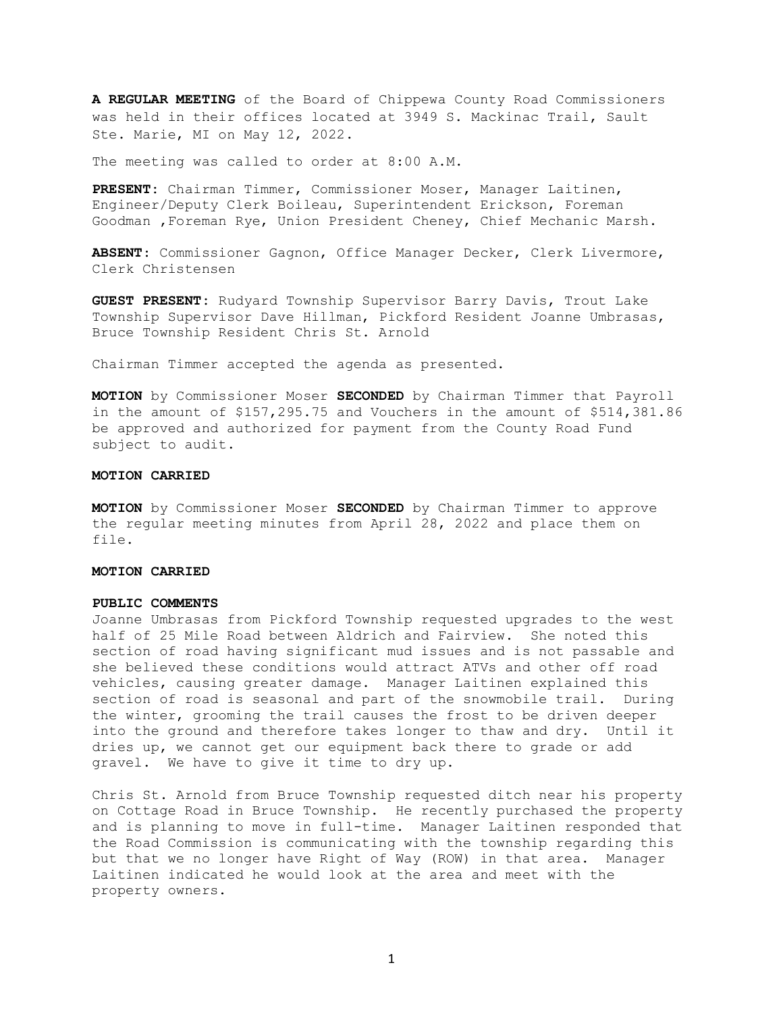**A REGULAR MEETING** of the Board of Chippewa County Road Commissioners was held in their offices located at 3949 S. Mackinac Trail, Sault Ste. Marie, MI on May 12, 2022.

The meeting was called to order at 8:00 A.M.

**PRESENT:** Chairman Timmer, Commissioner Moser, Manager Laitinen, Engineer/Deputy Clerk Boileau, Superintendent Erickson, Foreman Goodman ,Foreman Rye, Union President Cheney, Chief Mechanic Marsh.

**ABSENT**: Commissioner Gagnon, Office Manager Decker, Clerk Livermore, Clerk Christensen

**GUEST PRESENT:** Rudyard Township Supervisor Barry Davis, Trout Lake Township Supervisor Dave Hillman, Pickford Resident Joanne Umbrasas, Bruce Township Resident Chris St. Arnold

Chairman Timmer accepted the agenda as presented.

**MOTION** by Commissioner Moser **SECONDED** by Chairman Timmer that Payroll in the amount of \$157,295.75 and Vouchers in the amount of \$514,381.86 be approved and authorized for payment from the County Road Fund subject to audit.

#### **MOTION CARRIED**

**MOTION** by Commissioner Moser **SECONDED** by Chairman Timmer to approve the regular meeting minutes from April 28, 2022 and place them on file.

### **MOTION CARRIED**

#### **PUBLIC COMMENTS**

Joanne Umbrasas from Pickford Township requested upgrades to the west half of 25 Mile Road between Aldrich and Fairview. She noted this section of road having significant mud issues and is not passable and she believed these conditions would attract ATVs and other off road vehicles, causing greater damage. Manager Laitinen explained this section of road is seasonal and part of the snowmobile trail. During the winter, grooming the trail causes the frost to be driven deeper into the ground and therefore takes longer to thaw and dry. Until it dries up, we cannot get our equipment back there to grade or add gravel. We have to give it time to dry up.

Chris St. Arnold from Bruce Township requested ditch near his property on Cottage Road in Bruce Township. He recently purchased the property and is planning to move in full-time. Manager Laitinen responded that the Road Commission is communicating with the township regarding this but that we no longer have Right of Way (ROW) in that area. Manager Laitinen indicated he would look at the area and meet with the property owners.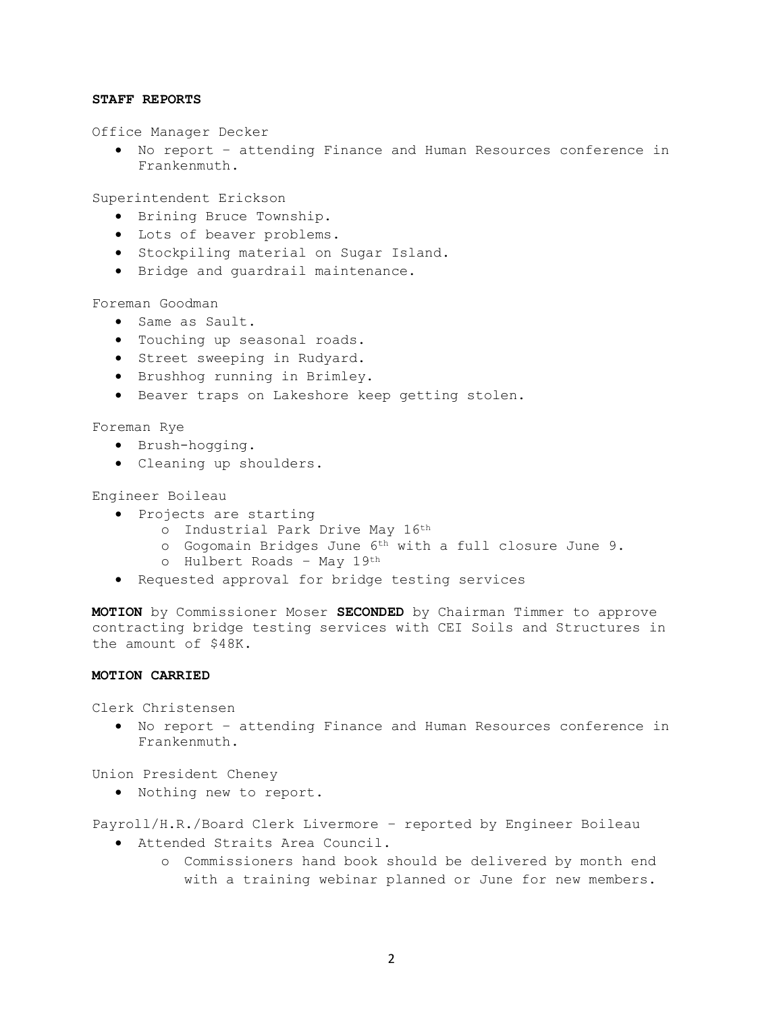### **STAFF REPORTS**

Office Manager Decker

• No report – attending Finance and Human Resources conference in Frankenmuth.

Superintendent Erickson

- Brining Bruce Township.
- Lots of beaver problems.
- Stockpiling material on Sugar Island.
- Bridge and guardrail maintenance.

Foreman Goodman

- Same as Sault.
- Touching up seasonal roads.
- Street sweeping in Rudyard.
- Brushhog running in Brimley.
- Beaver traps on Lakeshore keep getting stolen.

Foreman Rye

- Brush-hogging.
- Cleaning up shoulders.

#### Engineer Boileau

- Projects are starting
	- o Industrial Park Drive May 16th
	- o Gogomain Bridges June 6th with a full closure June 9.
	- o Hulbert Roads May 19th
- Requested approval for bridge testing services

**MOTION** by Commissioner Moser **SECONDED** by Chairman Timmer to approve contracting bridge testing services with CEI Soils and Structures in the amount of \$48K.

## **MOTION CARRIED**

Clerk Christensen

• No report – attending Finance and Human Resources conference in Frankenmuth.

Union President Cheney

• Nothing new to report.

Payroll/H.R./Board Clerk Livermore – reported by Engineer Boileau

- Attended Straits Area Council.
	- o Commissioners hand book should be delivered by month end with a training webinar planned or June for new members.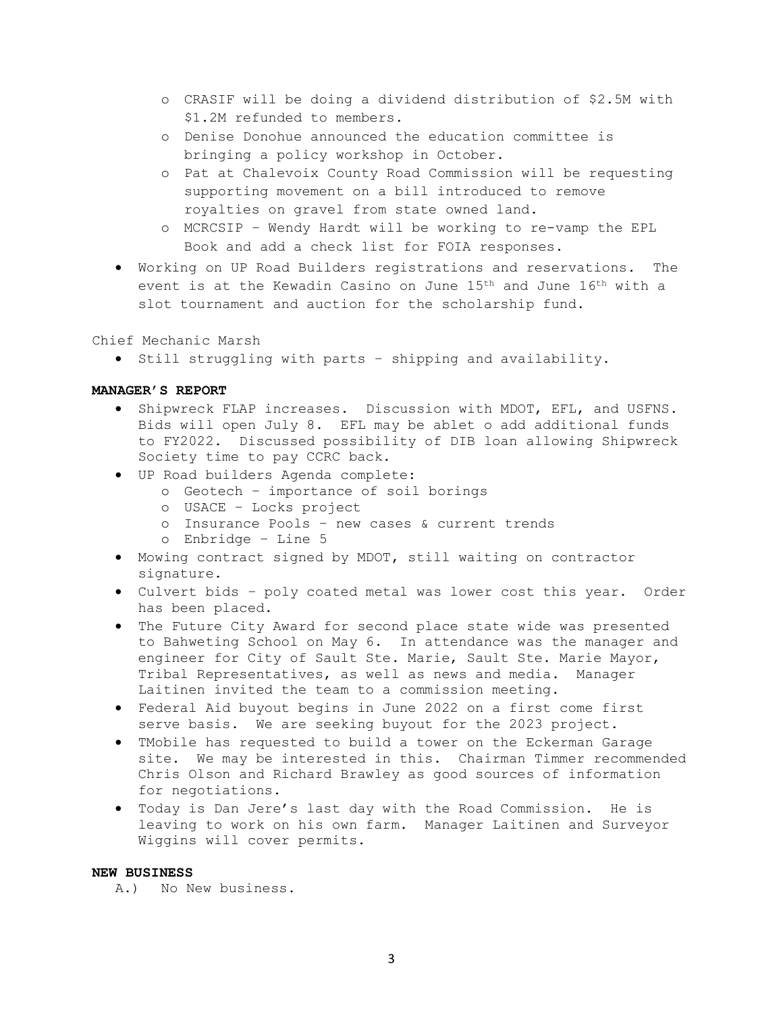- o CRASIF will be doing a dividend distribution of \$2.5M with \$1.2M refunded to members.
- o Denise Donohue announced the education committee is bringing a policy workshop in October.
- o Pat at Chalevoix County Road Commission will be requesting supporting movement on a bill introduced to remove royalties on gravel from state owned land.
- o MCRCSIP Wendy Hardt will be working to re-vamp the EPL Book and add a check list for FOIA responses.
- Working on UP Road Builders registrations and reservations. The event is at the Kewadin Casino on June 15th and June 16th with a slot tournament and auction for the scholarship fund.

Chief Mechanic Marsh

• Still struggling with parts – shipping and availability.

## **MANAGER'S REPORT**

- Shipwreck FLAP increases. Discussion with MDOT, EFL, and USFNS. Bids will open July 8. EFL may be ablet o add additional funds to FY2022. Discussed possibility of DIB loan allowing Shipwreck Society time to pay CCRC back.
- UP Road builders Agenda complete:
	- o Geotech importance of soil borings
	- o USACE Locks project
	- o Insurance Pools new cases & current trends
	- o Enbridge Line 5
- Mowing contract signed by MDOT, still waiting on contractor signature.
- Culvert bids poly coated metal was lower cost this year. Order has been placed.
- The Future City Award for second place state wide was presented to Bahweting School on May 6. In attendance was the manager and engineer for City of Sault Ste. Marie, Sault Ste. Marie Mayor, Tribal Representatives, as well as news and media. Manager Laitinen invited the team to a commission meeting.
- Federal Aid buyout begins in June 2022 on a first come first serve basis. We are seeking buyout for the 2023 project.
- TMobile has requested to build a tower on the Eckerman Garage site. We may be interested in this. Chairman Timmer recommended Chris Olson and Richard Brawley as good sources of information for negotiations.
- Today is Dan Jere's last day with the Road Commission. He is leaving to work on his own farm. Manager Laitinen and Surveyor Wiggins will cover permits.

# **NEW BUSINESS**

A.) No New business.